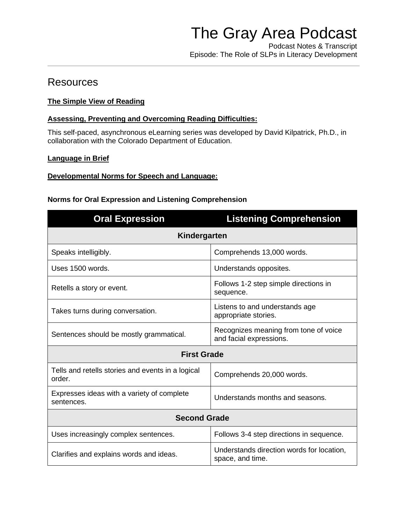Podcast Notes & Transcript Episode: The Role of SLPs in Literacy Development

# **Resources**

# **[The Simple View of Reading](https://www.readingrockets.org/article/simple-view-reading)**

### **[Assessing, Preventing and Overcoming Reading Difficulties:](https://sitesed.cde.state.co.us/course/view.php?id=132)**

This self-paced, asynchronous eLearning series was developed by David Kilpatrick, Ph.D., in collaboration with the Colorado Department of Education.

### **[Language in Brief](https://www.asha.org/practice-portal/clinical-topics/spoken-language-disorders/language-in--brief/)**

### **[Developmental Norms for Speech and Language:](https://www.asha.org/slp/schools/prof-consult/norms/)**

### **Norms for Oral Expression and Listening Comprehension**

| <b>Oral Expression</b>                                      | <b>Listening Comprehension</b>                                   |  |
|-------------------------------------------------------------|------------------------------------------------------------------|--|
| Kindergarten                                                |                                                                  |  |
| Speaks intelligibly.                                        | Comprehends 13,000 words.                                        |  |
| Uses 1500 words.                                            | Understands opposites.                                           |  |
| Retells a story or event.                                   | Follows 1-2 step simple directions in<br>sequence.               |  |
| Takes turns during conversation.                            | Listens to and understands age<br>appropriate stories.           |  |
| Sentences should be mostly grammatical.                     | Recognizes meaning from tone of voice<br>and facial expressions. |  |
| <b>First Grade</b>                                          |                                                                  |  |
| Tells and retells stories and events in a logical<br>order. | Comprehends 20,000 words.                                        |  |
| Expresses ideas with a variety of complete<br>sentences.    | Understands months and seasons.                                  |  |
| <b>Second Grade</b>                                         |                                                                  |  |
| Uses increasingly complex sentences.                        | Follows 3-4 step directions in sequence.                         |  |
| Clarifies and explains words and ideas.                     | Understands direction words for location,<br>space, and time.    |  |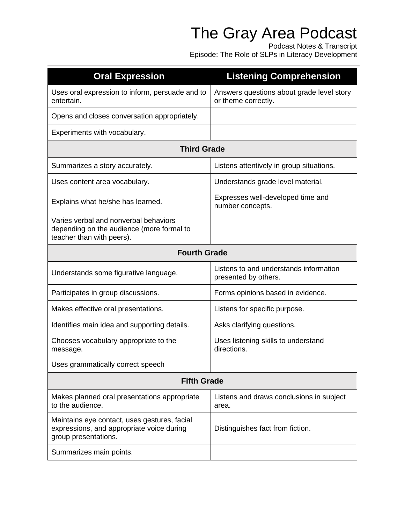Podcast Notes & Transcript Episode: The Role of SLPs in Literacy Development

| <b>Oral Expression</b>                                                                                            | <b>Listening Comprehension</b>                                   |  |
|-------------------------------------------------------------------------------------------------------------------|------------------------------------------------------------------|--|
| Uses oral expression to inform, persuade and to<br>entertain.                                                     | Answers questions about grade level story<br>or theme correctly. |  |
| Opens and closes conversation appropriately.                                                                      |                                                                  |  |
| Experiments with vocabulary.                                                                                      |                                                                  |  |
| <b>Third Grade</b>                                                                                                |                                                                  |  |
| Summarizes a story accurately.                                                                                    | Listens attentively in group situations.                         |  |
| Uses content area vocabulary.                                                                                     | Understands grade level material.                                |  |
| Explains what he/she has learned.                                                                                 | Expresses well-developed time and<br>number concepts.            |  |
| Varies verbal and nonverbal behaviors<br>depending on the audience (more formal to<br>teacher than with peers).   |                                                                  |  |
| <b>Fourth Grade</b>                                                                                               |                                                                  |  |
| Understands some figurative language.                                                                             | Listens to and understands information<br>presented by others.   |  |
| Participates in group discussions.                                                                                | Forms opinions based in evidence.                                |  |
| Makes effective oral presentations.                                                                               | Listens for specific purpose.                                    |  |
| Identifies main idea and supporting details.                                                                      | Asks clarifying questions.                                       |  |
| Chooses vocabulary appropriate to the<br>message.                                                                 | Uses listening skills to understand<br>directions.               |  |
| Uses grammatically correct speech                                                                                 |                                                                  |  |
| <b>Fifth Grade</b>                                                                                                |                                                                  |  |
| Makes planned oral presentations appropriate<br>to the audience.                                                  | Listens and draws conclusions in subject<br>area.                |  |
| Maintains eye contact, uses gestures, facial<br>expressions, and appropriate voice during<br>group presentations. | Distinguishes fact from fiction.                                 |  |
| Summarizes main points.                                                                                           |                                                                  |  |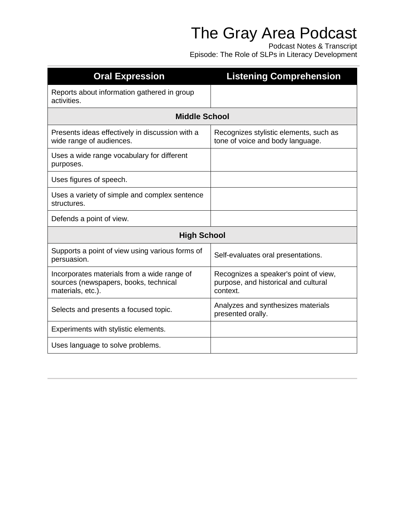Podcast Notes & Transcript Episode: The Role of SLPs in Literacy Development

| <b>Oral Expression</b>                                                                                    | <b>Listening Comprehension</b>                                                            |  |
|-----------------------------------------------------------------------------------------------------------|-------------------------------------------------------------------------------------------|--|
| Reports about information gathered in group<br>activities.                                                |                                                                                           |  |
| <b>Middle School</b>                                                                                      |                                                                                           |  |
| Presents ideas effectively in discussion with a<br>wide range of audiences.                               | Recognizes stylistic elements, such as<br>tone of voice and body language.                |  |
| Uses a wide range vocabulary for different<br>purposes.                                                   |                                                                                           |  |
| Uses figures of speech.                                                                                   |                                                                                           |  |
| Uses a variety of simple and complex sentence<br>structures.                                              |                                                                                           |  |
| Defends a point of view.                                                                                  |                                                                                           |  |
| <b>High School</b>                                                                                        |                                                                                           |  |
| Supports a point of view using various forms of<br>persuasion.                                            | Self-evaluates oral presentations.                                                        |  |
| Incorporates materials from a wide range of<br>sources (newspapers, books, technical<br>materials, etc.). | Recognizes a speaker's point of view,<br>purpose, and historical and cultural<br>context. |  |
| Selects and presents a focused topic.                                                                     | Analyzes and synthesizes materials<br>presented orally.                                   |  |
| Experiments with stylistic elements.                                                                      |                                                                                           |  |
| Uses language to solve problems.                                                                          |                                                                                           |  |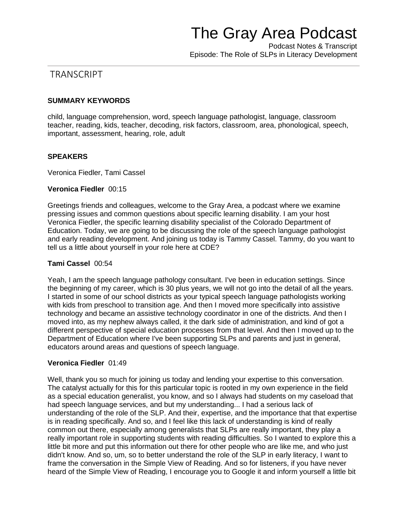Podcast Notes & Transcript Episode: The Role of SLPs in Literacy Development

# **TRANSCRIPT**

### **SUMMARY KEYWORDS**

child, language comprehension, word, speech language pathologist, language, classroom teacher, reading, kids, teacher, decoding, risk factors, classroom, area, phonological, speech, important, assessment, hearing, role, adult

### **SPEAKERS**

Veronica Fiedler, Tami Cassel

### **Veronica Fiedler** 00:15

Greetings friends and colleagues, welcome to the Gray Area, a podcast where we examine pressing issues and common questions about specific learning disability. I am your host Veronica Fiedler, the specific learning disability specialist of the Colorado Department of Education. Today, we are going to be discussing the role of the speech language pathologist and early reading development. And joining us today is Tammy Cassel. Tammy, do you want to tell us a little about yourself in your role here at CDE?

### **Tami Cassel** 00:54

Yeah, I am the speech language pathology consultant. I've been in education settings. Since the beginning of my career, which is 30 plus years, we will not go into the detail of all the years. I started in some of our school districts as your typical speech language pathologists working with kids from preschool to transition age. And then I moved more specifically into assistive technology and became an assistive technology coordinator in one of the districts. And then I moved into, as my nephew always called, it the dark side of administration, and kind of got a different perspective of special education processes from that level. And then I moved up to the Department of Education where I've been supporting SLPs and parents and just in general, educators around areas and questions of speech language.

### **Veronica Fiedler** 01:49

Well, thank you so much for joining us today and lending your expertise to this conversation. The catalyst actually for this for this particular topic is rooted in my own experience in the field as a special education generalist, you know, and so I always had students on my caseload that had speech language services, and but my understanding... I had a serious lack of understanding of the role of the SLP. And their, expertise, and the importance that that expertise is in reading specifically. And so, and I feel like this lack of understanding is kind of really common out there, especially among generalists that SLPs are really important, they play a really important role in supporting students with reading difficulties. So I wanted to explore this a little bit more and put this information out there for other people who are like me, and who just didn't know. And so, um, so to better understand the role of the SLP in early literacy, I want to frame the conversation in the Simple View of Reading. And so for listeners, if you have never heard of the Simple View of Reading, I encourage you to Google it and inform yourself a little bit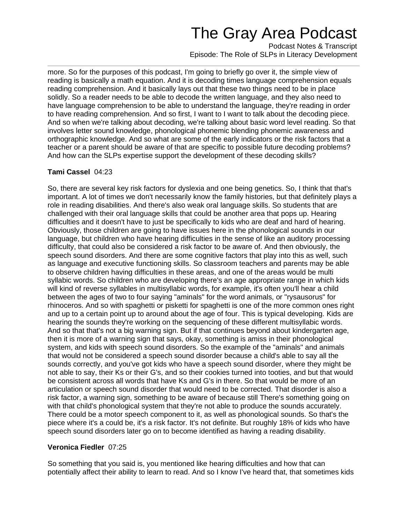Podcast Notes & Transcript Episode: The Role of SLPs in Literacy Development

more. So for the purposes of this podcast, I'm going to briefly go over it, the simple view of reading is basically a math equation. And it is decoding times language comprehension equals reading comprehension. And it basically lays out that these two things need to be in place solidly. So a reader needs to be able to decode the written language, and they also need to have language comprehension to be able to understand the language, they're reading in order to have reading comprehension. And so first, I want to I want to talk about the decoding piece. And so when we're talking about decoding, we're talking about basic word level reading. So that involves letter sound knowledge, phonological phonemic blending phonemic awareness and orthographic knowledge. And so what are some of the early indicators or the risk factors that a teacher or a parent should be aware of that are specific to possible future decoding problems? And how can the SLPs expertise support the development of these decoding skills?

# **Tami Cassel** 04:23

So, there are several key risk factors for dyslexia and one being genetics. So, I think that that's important. A lot of times we don't necessarily know the family histories, but that definitely plays a role in reading disabilities. And there's also weak oral language skills. So students that are challenged with their oral language skills that could be another area that pops up. Hearing difficulties and it doesn't have to just be specifically to kids who are deaf and hard of hearing. Obviously, those children are going to have issues here in the phonological sounds in our language, but children who have hearing difficulties in the sense of like an auditory processing difficulty, that could also be considered a risk factor to be aware of. And then obviously, the speech sound disorders. And there are some cognitive factors that play into this as well, such as language and executive functioning skills. So classroom teachers and parents may be able to observe children having difficulties in these areas, and one of the areas would be multi syllabic words. So children who are developing there's an age appropriate range in which kids will kind of reverse syllables in multisyllabic words, for example, it's often you'll hear a child between the ages of two to four saying "aminals" for the word animals, or "rysausorus" for rhinoceros. And so with spaghetti or pisketti for spaghetti is one of the more common ones right and up to a certain point up to around about the age of four. This is typical developing. Kids are hearing the sounds they're working on the sequencing of these different multisyllabic words. And so that that's not a big warning sign. But if that continues beyond about kindergarten age, then it is more of a warning sign that says, okay, something is amiss in their phonological system, and kids with speech sound disorders. So the example of the "aminals" and animals that would not be considered a speech sound disorder because a child's able to say all the sounds correctly, and you've got kids who have a speech sound disorder, where they might be not able to say, their Ks or their G's, and so their cookies turned into tooties, and but that would be consistent across all words that have Ks and G's in there. So that would be more of an articulation or speech sound disorder that would need to be corrected. That disorder is also a risk factor, a warning sign, something to be aware of because still There's something going on with that child's phonological system that they're not able to produce the sounds accurately. There could be a motor speech component to it, as well as phonological sounds. So that's the piece where it's a could be, it's a risk factor. It's not definite. But roughly 18% of kids who have speech sound disorders later go on to become identified as having a reading disability.

# **Veronica Fiedler** 07:25

So something that you said is, you mentioned like hearing difficulties and how that can potentially affect their ability to learn to read. And so I know I've heard that, that sometimes kids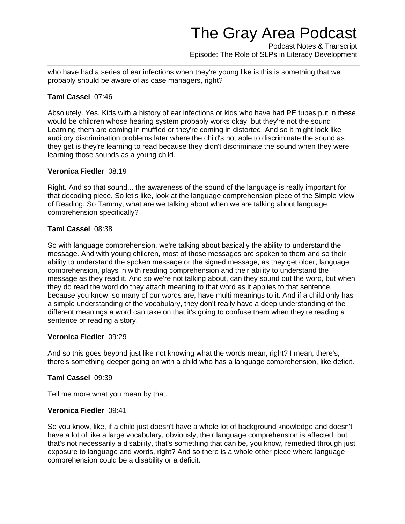Podcast Notes & Transcript Episode: The Role of SLPs in Literacy Development

who have had a series of ear infections when they're young like is this is something that we probably should be aware of as case managers, right?

### **Tami Cassel** 07:46

Absolutely. Yes. Kids with a history of ear infections or kids who have had PE tubes put in these would be children whose hearing system probably works okay, but they're not the sound Learning them are coming in muffled or they're coming in distorted. And so it might look like auditory discrimination problems later where the child's not able to discriminate the sound as they get is they're learning to read because they didn't discriminate the sound when they were learning those sounds as a young child.

#### **Veronica Fiedler** 08:19

Right. And so that sound... the awareness of the sound of the language is really important for that decoding piece. So let's like, look at the language comprehension piece of the Simple View of Reading. So Tammy, what are we talking about when we are talking about language comprehension specifically?

### **Tami Cassel** 08:38

So with language comprehension, we're talking about basically the ability to understand the message. And with young children, most of those messages are spoken to them and so their ability to understand the spoken message or the signed message, as they get older, language comprehension, plays in with reading comprehension and their ability to understand the message as they read it. And so we're not talking about, can they sound out the word, but when they do read the word do they attach meaning to that word as it applies to that sentence, because you know, so many of our words are, have multi meanings to it. And if a child only has a simple understanding of the vocabulary, they don't really have a deep understanding of the different meanings a word can take on that it's going to confuse them when they're reading a sentence or reading a story.

#### **Veronica Fiedler** 09:29

And so this goes beyond just like not knowing what the words mean, right? I mean, there's, there's something deeper going on with a child who has a language comprehension, like deficit.

#### **Tami Cassel** 09:39

Tell me more what you mean by that.

#### **Veronica Fiedler** 09:41

So you know, like, if a child just doesn't have a whole lot of background knowledge and doesn't have a lot of like a large vocabulary, obviously, their language comprehension is affected, but that's not necessarily a disability, that's something that can be, you know, remedied through just exposure to language and words, right? And so there is a whole other piece where language comprehension could be a disability or a deficit.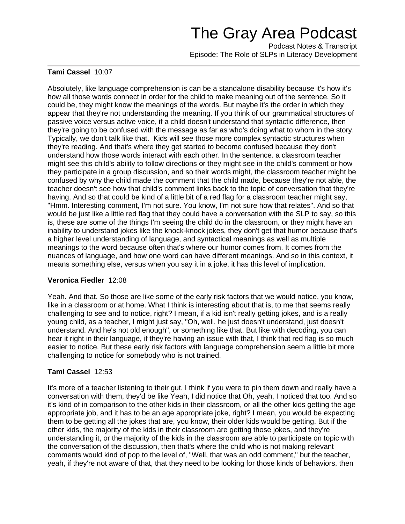Podcast Notes & Transcript Episode: The Role of SLPs in Literacy Development

### **Tami Cassel** 10:07

Absolutely, like language comprehension is can be a standalone disability because it's how it's how all those words connect in order for the child to make meaning out of the sentence. So it could be, they might know the meanings of the words. But maybe it's the order in which they appear that they're not understanding the meaning. If you think of our grammatical structures of passive voice versus active voice, if a child doesn't understand that syntactic difference, then they're going to be confused with the message as far as who's doing what to whom in the story. Typically, we don't talk like that. Kids will see those more complex syntactic structures when they're reading. And that's where they get started to become confused because they don't understand how those words interact with each other. In the sentence. a classroom teacher might see this child's ability to follow directions or they might see in the child's comment or how they participate in a group discussion, and so their words might, the classroom teacher might be confused by why the child made the comment that the child made, because they're not able, the teacher doesn't see how that child's comment links back to the topic of conversation that they're having. And so that could be kind of a little bit of a red flag for a classroom teacher might say, "Hmm. Interesting comment, I'm not sure. You know, I'm not sure how that relates". And so that would be just like a little red flag that they could have a conversation with the SLP to say, so this is, these are some of the things I'm seeing the child do in the classroom, or they might have an inability to understand jokes like the knock-knock jokes, they don't get that humor because that's a higher level understanding of language, and syntactical meanings as well as multiple meanings to the word because often that's where our humor comes from. It comes from the nuances of language, and how one word can have different meanings. And so in this context, it means something else, versus when you say it in a joke, it has this level of implication.

### **Veronica Fiedler** 12:08

Yeah. And that. So those are like some of the early risk factors that we would notice, you know, like in a classroom or at home. What I think is interesting about that is, to me that seems really challenging to see and to notice, right? I mean, if a kid isn't really getting jokes, and is a really young child, as a teacher, I might just say, "Oh, well, he just doesn't understand, just doesn't understand. And he's not old enough", or something like that. But like with decoding, you can hear it right in their language, if they're having an issue with that, I think that red flag is so much easier to notice. But these early risk factors with language comprehension seem a little bit more challenging to notice for somebody who is not trained.

### **Tami Cassel** 12:53

It's more of a teacher listening to their gut. I think if you were to pin them down and really have a conversation with them, they'd be like Yeah, I did notice that Oh, yeah, I noticed that too. And so it's kind of in comparison to the other kids in their classroom, or all the other kids getting the age appropriate job, and it has to be an age appropriate joke, right? I mean, you would be expecting them to be getting all the jokes that are, you know, their older kids would be getting. But if the other kids, the majority of the kids in their classroom are getting those jokes, and they're understanding it, or the majority of the kids in the classroom are able to participate on topic with the conversation of the discussion, then that's where the child who is not making relevant comments would kind of pop to the level of, "Well, that was an odd comment," but the teacher, yeah, if they're not aware of that, that they need to be looking for those kinds of behaviors, then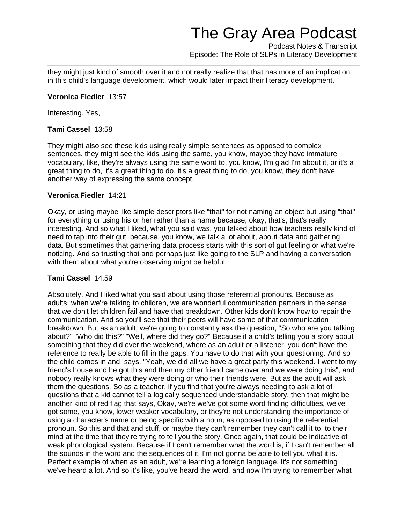Podcast Notes & Transcript Episode: The Role of SLPs in Literacy Development

they might just kind of smooth over it and not really realize that that has more of an implication in this child's language development, which would later impact their literacy development.

#### **Veronica Fiedler** 13:57

Interesting. Yes,

#### **Tami Cassel** 13:58

They might also see these kids using really simple sentences as opposed to complex sentences, they might see the kids using the same, you know, maybe they have immature vocabulary, like, they're always using the same word to, you know, I'm glad I'm about it, or it's a great thing to do, it's a great thing to do, it's a great thing to do, you know, they don't have another way of expressing the same concept.

#### **Veronica Fiedler** 14:21

Okay, or using maybe like simple descriptors like "that" for not naming an object but using "that" for everything or using his or her rather than a name because, okay, that's, that's really interesting. And so what I liked, what you said was, you talked about how teachers really kind of need to tap into their gut, because, you know, we talk a lot about, about data and gathering data. But sometimes that gathering data process starts with this sort of gut feeling or what we're noticing. And so trusting that and perhaps just like going to the SLP and having a conversation with them about what you're observing might be helpful.

#### **Tami Cassel** 14:59

Absolutely. And I liked what you said about using those referential pronouns. Because as adults, when we're talking to children, we are wonderful communication partners in the sense that we don't let children fail and have that breakdown. Other kids don't know how to repair the communication. And so you'll see that their peers will have some of that communication breakdown. But as an adult, we're going to constantly ask the question, "So who are you talking about?" "Who did this?" "Well, where did they go?" Because if a child's telling you a story about something that they did over the weekend, where as an adult or a listener, you don't have the reference to really be able to fill in the gaps. You have to do that with your questioning. And so the child comes in and says, "Yeah, we did all we have a great party this weekend. I went to my friend's house and he got this and then my other friend came over and we were doing this", and nobody really knows what they were doing or who their friends were. But as the adult will ask them the questions. So as a teacher, if you find that you're always needing to ask a lot of questions that a kid cannot tell a logically sequenced understandable story, then that might be another kind of red flag that says, Okay, we're we've got some word finding difficulties, we've got some, you know, lower weaker vocabulary, or they're not understanding the importance of using a character's name or being specific with a noun, as opposed to using the referential pronoun. So this and that and stuff, or maybe they can't remember they can't call it to, to their mind at the time that they're trying to tell you the story. Once again, that could be indicative of weak phonological system. Because if I can't remember what the word is, if I can't remember all the sounds in the word and the sequences of it, I'm not gonna be able to tell you what it is. Perfect example of when as an adult, we're learning a foreign language. It's not something we've heard a lot. And so it's like, you've heard the word, and now I'm trying to remember what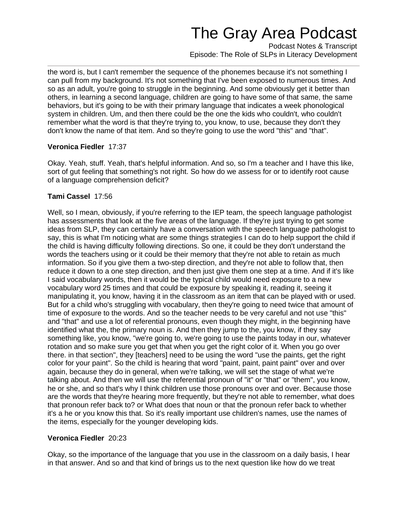Podcast Notes & Transcript Episode: The Role of SLPs in Literacy Development

the word is, but I can't remember the sequence of the phonemes because it's not something I can pull from my background. It's not something that I've been exposed to numerous times. And so as an adult, you're going to struggle in the beginning. And some obviously get it better than others, in learning a second language, children are going to have some of that same, the same behaviors, but it's going to be with their primary language that indicates a week phonological system in children. Um, and then there could be the one the kids who couldn't, who couldn't remember what the word is that they're trying to, you know, to use, because they don't they don't know the name of that item. And so they're going to use the word "this" and "that".

### **Veronica Fiedler** 17:37

Okay. Yeah, stuff. Yeah, that's helpful information. And so, so I'm a teacher and I have this like, sort of gut feeling that something's not right. So how do we assess for or to identify root cause of a language comprehension deficit?

### **Tami Cassel** 17:56

Well, so I mean, obviously, if you're referring to the IEP team, the speech language pathologist has assessments that look at the five areas of the language. If they're just trying to get some ideas from SLP, they can certainly have a conversation with the speech language pathologist to say, this is what I'm noticing what are some things strategies I can do to help support the child if the child is having difficulty following directions. So one, it could be they don't understand the words the teachers using or it could be their memory that they're not able to retain as much information. So if you give them a two-step direction, and they're not able to follow that, then reduce it down to a one step direction, and then just give them one step at a time. And if it's like I said vocabulary words, then it would be the typical child would need exposure to a new vocabulary word 25 times and that could be exposure by speaking it, reading it, seeing it manipulating it, you know, having it in the classroom as an item that can be played with or used. But for a child who's struggling with vocabulary, then they're going to need twice that amount of time of exposure to the words. And so the teacher needs to be very careful and not use "this" and "that" and use a lot of referential pronouns, even though they might, in the beginning have identified what the, the primary noun is. And then they jump to the, you know, if they say something like, you know, "we're going to, we're going to use the paints today in our, whatever rotation and so make sure you get that when you get the right color of it. When you go over there. in that section", they [teachers] need to be using the word "use the paints, get the right color for your paint". So the child is hearing that word "paint, paint, paint paint" over and over again, because they do in general, when we're talking, we will set the stage of what we're talking about. And then we will use the referential pronoun of "it" or "that" or "them", you know, he or she, and so that's why I think children use those pronouns over and over. Because those are the words that they're hearing more frequently, but they're not able to remember, what does that pronoun refer back to? or What does that noun or that the pronoun refer back to whether it's a he or you know this that. So it's really important use children's names, use the names of the items, especially for the younger developing kids.

### **Veronica Fiedler** 20:23

Okay, so the importance of the language that you use in the classroom on a daily basis, I hear in that answer. And so and that kind of brings us to the next question like how do we treat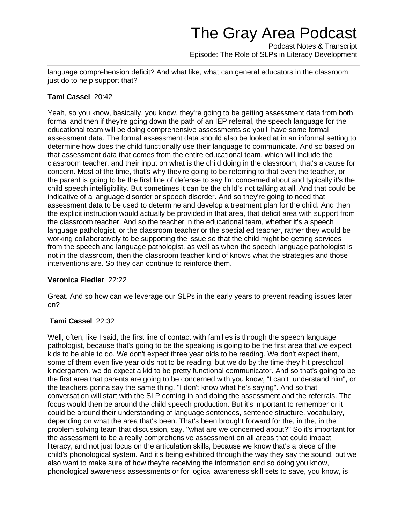Podcast Notes & Transcript Episode: The Role of SLPs in Literacy Development

language comprehension deficit? And what like, what can general educators in the classroom just do to help support that?

### **Tami Cassel** 20:42

Yeah, so you know, basically, you know, they're going to be getting assessment data from both formal and then if they're going down the path of an IEP referral, the speech language for the educational team will be doing comprehensive assessments so you'll have some formal assessment data. The formal assessment data should also be looked at in an informal setting to determine how does the child functionally use their language to communicate. And so based on that assessment data that comes from the entire educational team, which will include the classroom teacher, and their input on what is the child doing in the classroom, that's a cause for concern. Most of the time, that's why they're going to be referring to that even the teacher, or the parent is going to be the first line of defense to say I'm concerned about and typically it's the child speech intelligibility. But sometimes it can be the child's not talking at all. And that could be indicative of a language disorder or speech disorder. And so they're going to need that assessment data to be used to determine and develop a treatment plan for the child. And then the explicit instruction would actually be provided in that area, that deficit area with support from the classroom teacher. And so the teacher in the educational team, whether it's a speech language pathologist, or the classroom teacher or the special ed teacher, rather they would be working collaboratively to be supporting the issue so that the child might be getting services from the speech and language pathologist, as well as when the speech language pathologist is not in the classroom, then the classroom teacher kind of knows what the strategies and those interventions are. So they can continue to reinforce them.

### **Veronica Fiedler** 22:22

Great. And so how can we leverage our SLPs in the early years to prevent reading issues later on?

### **Tami Cassel** 22:32

Well, often, like I said, the first line of contact with families is through the speech language pathologist, because that's going to be the speaking is going to be the first area that we expect kids to be able to do. We don't expect three year olds to be reading. We don't expect them, some of them even five year olds not to be reading, but we do by the time they hit preschool kindergarten, we do expect a kid to be pretty functional communicator. And so that's going to be the first area that parents are going to be concerned with you know, "I can't understand him", or the teachers gonna say the same thing, "I don't know what he's saying". And so that conversation will start with the SLP coming in and doing the assessment and the referrals. The focus would then be around the child speech production. But it's important to remember or it could be around their understanding of language sentences, sentence structure, vocabulary, depending on what the area that's been. That's been brought forward for the, in the, in the problem solving team that discussion, say, "what are we concerned about?" So it's important for the assessment to be a really comprehensive assessment on all areas that could impact literacy, and not just focus on the articulation skills, because we know that's a piece of the child's phonological system. And it's being exhibited through the way they say the sound, but we also want to make sure of how they're receiving the information and so doing you know, phonological awareness assessments or for logical awareness skill sets to save, you know, is